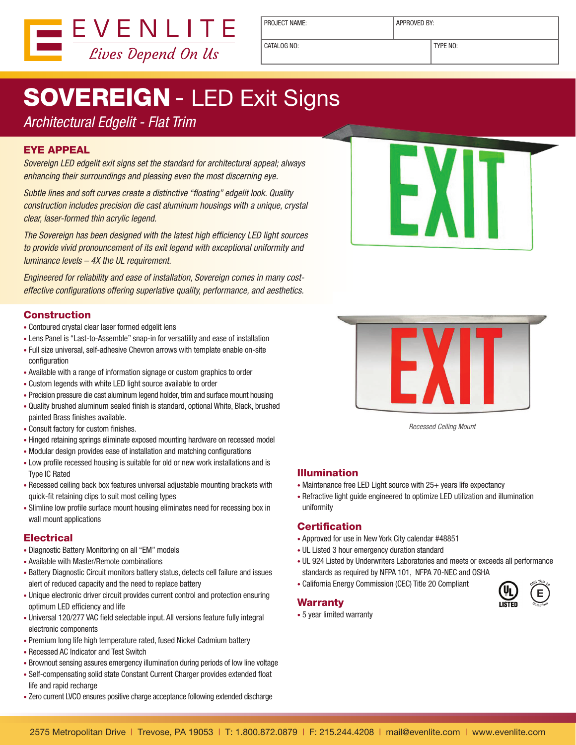

PROJECT NAME: <br> APPROVED BY:

CATALOG NO: TYPE NO:

# **SOVEREIGN - LED Exit Signs**

### *Architectural Edgelit - Flat Trim*

#### EYE APPEAL

*Sovereign LED edgelit exit signs set the standard for architectural appeal; always enhancing their surroundings and pleasing even the most discerning eye.*

*Subtle lines and soft curves create a distinctive "floating" edgelit look. Quality construction includes precision die cast aluminum housings with a unique, crystal clear, laser-formed thin acrylic legend.*

*The Sovereign has been designed with the latest high efficiency LED light sources to provide vivid pronouncement of its exit legend with exceptional uniformity and luminance levels – 4X the UL requirement.* 

*Engineered for reliability and ease of installation, Sovereign comes in many costeffective configurations offering superlative quality, performance, and aesthetics.*

#### Construction

- Contoured crystal clear laser formed edgelit lens
- Lens Panel is "Last-to-Assemble" snap-in for versatility and ease of installation
- Full size universal, self-adhesive Chevron arrows with template enable on-site configuration
- Available with a range of information signage or custom graphics to order
- Custom legends with white LED light source available to order
- Precision pressure die cast aluminum legend holder, trim and surface mount housing
- Quality brushed aluminum sealed finish is standard, optional White, Black, brushed painted Brass finishes available.
- Consult factory for custom finishes.
- Hinged retaining springs eliminate exposed mounting hardware on recessed model
- Modular design provides ease of installation and matching configurations
- Low profile recessed housing is suitable for old or new work installations and is Type IC Rated
- Recessed ceiling back box features universal adjustable mounting brackets with quick-fit retaining clips to suit most ceiling types
- Slimline low profile surface mount housing eliminates need for recessing box in wall mount applications

#### **Electrical**

- Diagnostic Battery Monitoring on all "EM" models
- Available with Master/Remote combinations
- Battery Diagnostic Circuit monitors battery status, detects cell failure and issues alert of reduced capacity and the need to replace battery
- Unique electronic driver circuit provides current control and protection ensuring optimum LED efficiency and life
- Universal 120/277 VAC field selectable input. All versions feature fully integral electronic components
- Premium long life high temperature rated, fused Nickel Cadmium battery
- Recessed AC Indicator and Test Switch
- Brownout sensing assures emergency illumination during periods of low line voltage
- Self-compensating solid state Constant Current Charger provides extended float life and rapid recharge
- Zero current LVCO ensures positive charge acceptance following extended discharge





*Recessed Ceiling Mount*

#### Illumination

- Maintenance free LED Light source with 25+ years life expectancy
- Refractive light guide engineered to optimize LED utilization and illumination uniformity

#### **Certification**

- Approved for use in New York City calendar #48851
- UL Listed 3 hour emergency duration standard
- UL 924 Listed by Underwriters Laboratories and meets or exceeds all performance standards as required by NFPA 101, NFPA 70-NEC and OSHA
- California Energy Commission (CEC) Title 20 Compliant

#### Warranty

**E <sup>C</sup>E<sup>C</sup> <sup>T</sup>itl<sup>e</sup> <sup>2</sup><sup>0</sup> <sup>C</sup>omplian<sup>t</sup>**

• 5 year limited warranty